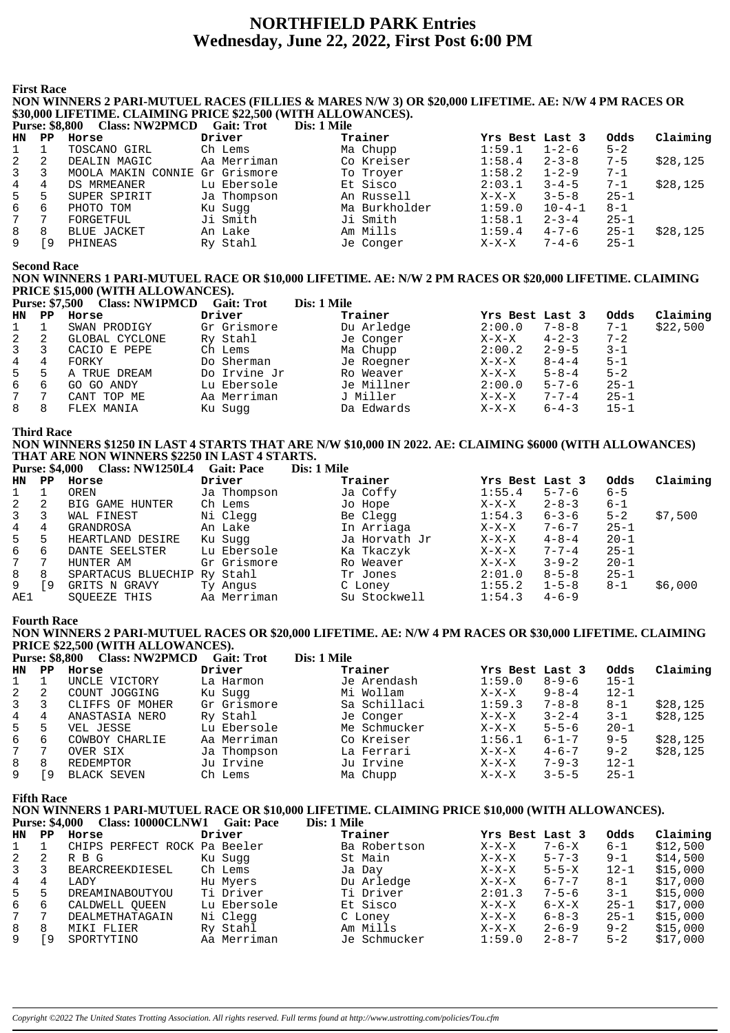# **NORTHFIELD PARK Entries** Wednesday, June 22, 2022, First Post 6:00 PM

**First Race** 

NON WINNERS 2 PARI-MUTUEL RACES (FILLIES & MARES N/W 3) OR \$20,000 LIFETIME. AE: N/W 4 PM RACES OR \$30,000 LIFETIME. CLAIMING PRICE \$22,500 (WITH ALLOWANCES).<br>Purse: \$8.800 Class: NW2PMCD Gait: Trot Dis: 1 Mile  $\overline{\text{Dis}}$  1 Milo

|    | 1 ULSC. 90,000 | CIASS. IN WEL MICD             | Gail. 1190  | різ. І ічше   |                 |              |          |          |
|----|----------------|--------------------------------|-------------|---------------|-----------------|--------------|----------|----------|
| HN | PP.            | Horse                          | Driver      | Trainer       | Yrs Best Last 3 |              | Odds     | Claiming |
|    |                | TOSCANO GIRL                   | Ch Lems     | Ma Chupp      | 1:59.1          | $1 - 2 - 6$  | $5 - 2$  |          |
| 2  |                | DEALIN MAGIC                   | Aa Merriman | Co Kreiser    | 1:58.4          | $2 - 3 - 8$  | $7 - 5$  | \$28,125 |
| 3  |                | MOOLA MAKIN CONNIE Gr Grismore |             | To Troyer     | 1:58.2          | $1 - 2 - 9$  | $7 - 1$  |          |
| 4  | 4              | DS MRMEANER                    | Lu Ebersole | Et Sisco      | 2:03.1          | $3 - 4 - 5$  | $7 - 1$  | \$28.125 |
| 5  | 5              | SUPER SPIRIT                   | Ja Thompson | An Russell    | $X-X-X$         | $3 - 5 - 8$  | $25 - 1$ |          |
| 6  | 6              | PHOTO TOM                      | Ku Sugg     | Ma Burkholder | 1:59.0          | $10 - 4 - 1$ | $8 - 1$  |          |
| 7  |                | FORGETFUL                      | Ji Smith    | Ji Smith      | 1:58.1          | $2 - 3 - 4$  | $25 - 1$ |          |
| 8  | 8              | BLUE JACKET                    | An Lake     | Am Mills      | 1:59.4          | $4 - 7 - 6$  | $25 - 1$ | \$28,125 |
| 9  | ం              | PHINEAS                        | Ry Stahl    | Je Conger     | $X-X-X$         | $7 - 4 - 6$  | $25 - 1$ |          |

**Second Race** 

### NON WINNERS 1 PARI-MUTUEL RACE OR \$10,000 LIFETIME. AE: N/W 2 PM RACES OR \$20,000 LIFETIME. CLAIMING PRICE \$15,000 (WITH ALLOWANCES).

|     | <b>Purse: \$7,500</b> | <b>Class: NW1PMCD</b> | <b>Gait: Trot</b> | Dis: 1 Mile |                 |             |          |          |
|-----|-----------------------|-----------------------|-------------------|-------------|-----------------|-------------|----------|----------|
| HN. | PP.                   | Horse                 | Driver            | Trainer     | Yrs Best Last 3 |             | Odds     | Claiming |
|     |                       | SWAN PRODIGY          | Gr Grismore       | Du Arledge  | 2:00.0          | $7 - 8 - 8$ | $7 - 1$  | \$22,500 |
| 2   | 2                     | GLOBAL CYCLONE        | Ry Stahl          | Je Conger   | $X-X-X$         | $4 - 2 - 3$ | $7 - 2$  |          |
| 3   |                       | CACIO E PEPE          | Ch Lems           | Ma Chupp    | 2:00.2          | $2 - 9 - 5$ | $3 - 1$  |          |
| 4   | 4                     | FORKY                 | Do Sherman        | Je Roegner  | $X-X-X$         | $8 - 4 - 4$ | $5 - 1$  |          |
| 5   | 5                     | A TRUE DREAM          | Do Irvine Jr      | Ro Weaver   | $X-X-X$         | $5 - 8 - 4$ | $5 - 2$  |          |
| 6   | 6                     | GO GO ANDY            | Lu Ebersole       | Je Millner  | 2:00.0          | $5 - 7 - 6$ | $25 - 1$ |          |
|     | 7                     | CANT TOP ME           | Aa Merriman       | J Miller    | $X-X-X$         | $7 - 7 - 4$ | $25 - 1$ |          |
| 8   | 8                     | FLEX MANIA            | Ku Sugg           | Da Edwards  | $X-X-X$         | $6 - 4 - 3$ | $15 - 1$ |          |

**Third Race** 

NON WINNERS \$1250 IN LAST 4 STARTS THAT ARE N/W \$10,000 IN 2022. AE: CLAIMING \$6000 (WITH ALLOWANCES) THAT ARE NON WINNERS \$2250 IN LAST 4 STARTS. ile

| <b>Purse: \$4,000</b><br><b>Class: NW1250L4</b> | <b>Gait: Pace</b> | Dis: 1 Mi |
|-------------------------------------------------|-------------------|-----------|
|-------------------------------------------------|-------------------|-----------|

| HN           | PP. | Horse                       | Driver      | Trainer       | Yrs Best Last 3 |             | Odds     | Claiming |
|--------------|-----|-----------------------------|-------------|---------------|-----------------|-------------|----------|----------|
|              |     | OREN                        | Ja Thompson | Ja Coffy      | 1:55.4          | $5 - 7 - 6$ | $6 - 5$  |          |
| 2            | 2   | BIG GAME HUNTER             | Ch Lems     | Jo Hope       | $X-X-X$         | $2 - 8 - 3$ | $6 - 1$  |          |
| $\mathbf{3}$ | 3   | WAL FINEST                  | Ni Clegg    | Be Clegg      | 1:54.3          | $6 - 3 - 6$ | $5 - 2$  | \$7,500  |
| 4            | 4   | GRANDROSA                   | An Lake     | In Arriaga    | $X-X-X$         | $7 - 6 - 7$ | $25 - 1$ |          |
| 5            | 5   | HEARTLAND DESIRE            | Ku Sugg     | Ja Horvath Jr | $X-X-X$         | $4 - 8 - 4$ | $20 - 1$ |          |
| 6            | 6   | DANTE SEELSTER              | Lu Ebersole | Ka Tkaczyk    | $X-X-X$         | $7 - 7 - 4$ | $25 - 1$ |          |
| $7\degree$   | 7   | HUNTER AM                   | Gr Grismore | Ro Weaver     | $X-X-X$         | $3 - 9 - 2$ | $20 - 1$ |          |
| 8            | 8   | SPARTACUS BLUECHIP Ry Stahl |             | Tr Jones      | 2:01.0          | $8 - 5 - 8$ | $25 - 1$ |          |
| 9            | ۰9  | GRITS N GRAVY               | Ty Angus    | C Loney       | 1:55.2          | $1 - 5 - 8$ | $8 - 1$  | \$6,000  |
| AE1          |     | SOUEEZE THIS                | Aa Merriman | Su Stockwell  | 1:54.3          | $4 - 6 - 9$ |          |          |

#### **Fourth Race**

NON WINNERS 2 PARI-MUTUEL RACES OR \$20,000 LIFETIME. AE: N/W 4 PM RACES OR \$30,000 LIFETIME. CLAIMING PRICE \$22,500 (WITH ALLOWANCES).

|    | <b>Purse: \$8,800</b> | <b>Class: NW2PMCD</b> | Gait: Trot  | Dis: 1 Mile  |                 |             |          |          |
|----|-----------------------|-----------------------|-------------|--------------|-----------------|-------------|----------|----------|
| HN | PP                    | Horse                 | Driver      | Trainer      | Yrs Best Last 3 |             | Odds     | Claiming |
|    |                       | UNCLE VICTORY         | La Harmon   | Je Arendash  | 1:59.0          | $8 - 9 - 6$ | $15 - 1$ |          |
| 2  | 2                     | COUNT JOGGING         | Ku Sugg     | Mi Wollam    | $X-X-X$         | $9 - 8 - 4$ | $12 - 1$ |          |
| 3  |                       | CLIFFS OF MOHER       | Gr Grismore | Sa Schillaci | 1:59.3          | $7 - 8 - 8$ | $8 - 1$  | \$28,125 |
| 4  | 4                     | ANASTASIA NERO        | Ry Stahl    | Je Conger    | $X-X-X$         | $3 - 2 - 4$ | $3 - 1$  | \$28,125 |
| 5  | .5                    | VEL JESSE             | Lu Ebersole | Me Schmucker | $X-X-X$         | $5 - 5 - 6$ | $20 - 1$ |          |
| 6  | 6                     | COWBOY CHARLIE        | Aa Merriman | Co Kreiser   | 1:56.1          | $6 - 1 - 7$ | $9 - 5$  | \$28,125 |
| 7  |                       | OVER SIX              | Ja Thompson | La Ferrari   | $X-X-X$         | $4 - 6 - 7$ | $9 - 2$  | \$28,125 |
| 8  | 8                     | REDEMPTOR             | Ju Irvine   | Ju Irvine    | $X-X-X$         | $7 - 9 - 3$ | $12 - 1$ |          |
| 9  | 9                     | <b>BLACK SEVEN</b>    | Ch Lems     | Ma Chupp     | $X-X-X$         | $3 - 5 - 5$ | $25 - 1$ |          |

**Fifth Race** 

NON WINNERS 1 PARI-MUTUEL RACE OR \$10,000 LIFETIME. CLAIMING PRICE \$10,000 (WITH ALLOWANCES). Purse: \$4,000 Class: 10000CLNW1 Gait: Pace Dis: 1 Mile  $\sim$   $\sim$   $\sim$ 

| <b>HN</b> | ₽₽ | Horse                        | Driver      | Trainer      | Yrs Best Last 3 |             | odds     | Claiming |
|-----------|----|------------------------------|-------------|--------------|-----------------|-------------|----------|----------|
|           |    | CHIPS PERFECT ROCK Pa Beeler |             | Ba Robertson | $X-X-X$         | $7 - 6 - X$ | $6 - 1$  | \$12,500 |
| 2         |    | R B G                        | Ku Sugg     | St Main      | $X-X-X$         | $5 - 7 - 3$ | $9 - 1$  | \$14,500 |
| 3         |    | BEARCREEKDIESEL              | Ch Lems     | Ja Day       | $X-X-X$         | $5 - 5 - X$ | $12 - 1$ | \$15,000 |
| 4         | 4  | LADY                         | Hu Myers    | Du Arledge   | $X-X-X$         | $6 - 7 - 7$ | $8 - 1$  | \$17.000 |
| 5         |    | DREAMINABOUTYOU              | Ti Driver   | Ti Driver    | 2:01.3          | $7 - 5 - 6$ | $3 - 1$  | \$15.000 |
| 6         | 6  | CALDWELL OUEEN               | Lu Ebersole | Et Sisco     | $X-X-X$         | $6 - X - X$ | $25 - 1$ | \$17,000 |
| 7         |    | DEALMETHATAGAIN              | Ni Clegg    | C Loney      | $X-X-X$         | $6 - 8 - 3$ | $25 - 1$ | \$15,000 |
| 8         | 8  | MIKI FLIER                   | Ry Stahl    | Am Mills     | $X-X-X$         | $2 - 6 - 9$ | $9 - 2$  | \$15,000 |
|           | 9  | SPORTYTINO                   | Aa Merriman | Je Schmucker | 1:59.0          | $2 - 8 - 7$ | $5 - 2$  | \$17,000 |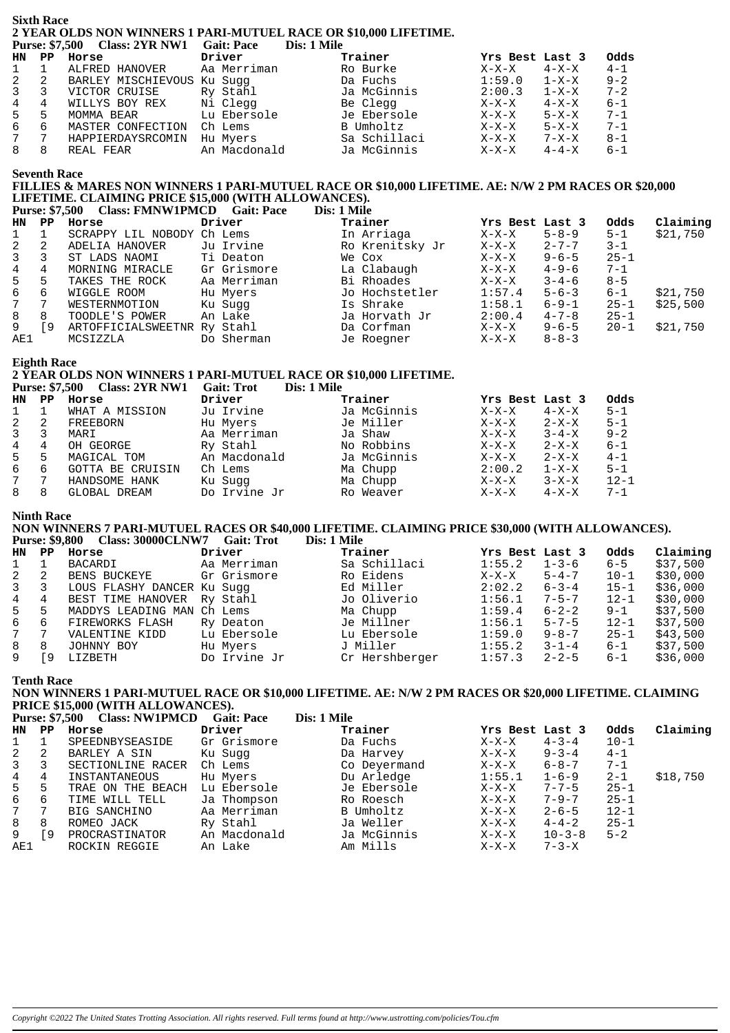#### **Sixth Race** 2 YEAR OLDS NON WINNERS 1 PARI-MUTUEL RACE OR \$10,000 LIFETIME. Purse: \$7.500 Class: 2YR NW1 Gait: Pace Dis: 1 Mile

|                  |    | $1 \text{ u}$ se, $\vartheta$ /, $300 \text{ G}$ ass, $21 \text{ N}$ (VVI Gall, $1 \text{ d} \in \mathbb{C}$ |              | <i>DIS. 1 VIII</i> C |                 |             |         |
|------------------|----|--------------------------------------------------------------------------------------------------------------|--------------|----------------------|-----------------|-------------|---------|
| HN PP            |    | Horse                                                                                                        | Driver       | Trainer              | Yrs Best Last 3 |             | Odds    |
| $\mathbf{1}$     |    | ALFRED HANOVER                                                                                               | Aa Merriman  | Ro Burke             | $X-X-X$         | $4 - X - X$ | $4 - 1$ |
| $2 \quad 2$      |    | BARLEY MISCHIEVOUS                                                                                           | Ku Sugg      | Da Fuchs             | 1:59.0          | $1 - X - X$ | $9 - 2$ |
| $3 \overline{3}$ |    | VICTOR CRUISE                                                                                                | Ry Stahl     | Ja McGinnis          | 2:00.3          | $1 - X - X$ | $7 - 2$ |
| $4\overline{ }$  | 4  | WILLYS BOY REX                                                                                               | Ni Clegg     | Be Clegg             | $X-X-X$         | $4 - X - X$ | 6-1     |
| $5 -$            | .5 | MOMMA BEAR                                                                                                   | Lu Ebersole  | Je Ebersole          | X-X-X           | 5-X-X       | $7 - 1$ |
| 6                | 6  | MASTER CONFECTION                                                                                            | Ch Lems      | B Umholtz            | $X-X-X$         | 5-X-X       | $7 - 1$ |
| 7                | 7  | HAPPIERDAYSRCOMIN                                                                                            | Hu Myers     | Sa Schillaci         | $X-X-X$         | 7-X-X       | 8-1     |
| 8                | 8  | REAL FEAR                                                                                                    | An Macdonald | Ja McGinnis          | $X-X-X$         | $4 - 4 - X$ | 6-1     |
|                  |    |                                                                                                              |              |                      |                 |             |         |

**Seventh Race** 

### FILLIES & MARES NON WINNERS 1 PARI-MUTUEL RACE OR \$10,000 LIFETIME. AE: N/W 2 PM RACES OR \$20,000 LIFETIME. CLAIMING PRICE \$15,000 (WITH ALLOWANCES).

| <b>Purse: \$7.500</b> |                             |  |             |
|-----------------------|-----------------------------|--|-------------|
|                       | Class: FMNW1PMCD Gait: Pace |  | Dis: 1 Mile |
|                       |                             |  |             |
|                       |                             |  |             |
|                       |                             |  |             |

| HN          | PP. | Horse                       | Driver      | Trainer         | Yrs Best Last 3 |             | Odds     | Claiming |
|-------------|-----|-----------------------------|-------------|-----------------|-----------------|-------------|----------|----------|
|             |     | SCRAPPY LIL NOBODY          | Ch Lems     | In Arriaga      | $X-X-X$         | $5 - 8 - 9$ | $5 - 1$  | \$21,750 |
| 2           |     | ADELIA HANOVER              | Ju Irvine   | Ro Krenitsky Jr | $X-X-X$         | $2 - 7 - 7$ | $3 - 1$  |          |
| 3           |     | ST LADS NAOMI               | Ti Deaton   | We Cox          | $X-X-X$         | $9 - 6 - 5$ | $25 - 1$ |          |
| 4           | 4   | MORNING MIRACLE             | Gr Grismore | La Clabaugh     | $X-X-X$         | $4 - 9 - 6$ | $7 - 1$  |          |
| 5           | 5   | TAKES THE ROCK              | Aa Merriman | Bi Rhoades      | $X-X-X$         | $3 - 4 - 6$ | $8 - 5$  |          |
| 6           | 6   | WIGGLE ROOM                 | Hu Myers    | Jo Hochstetler  | 1:57.4          | $5 - 6 - 3$ | $6 - 1$  | \$21,750 |
| $7^{\circ}$ | 7   | WESTERNMOTION               | Ku Sugg     | Is Shrake       | 1:58.1          | $6 - 9 - 1$ | $25 - 1$ | \$25,500 |
| 8           | 8   | TOODLE'S POWER              | An Lake     | Ja Horvath Jr   | 2:00.4          | $4 - 7 - 8$ | $25 - 1$ |          |
| 9           | -9  | ARTOFFICIALSWEETNR Ry Stahl |             | Da Corfman      | $X-X-X$         | $9 - 6 - 5$ | $20 - 1$ | \$21,750 |
| AE1         |     | MCSIZZLA                    | Do Sherman  | Je Roegner      | $X-X-X$         | $8 - 8 - 3$ |          |          |

#### **Eighth Race**

#### 2 YEAR OLDS NON WINNERS 1 PARI-MUTUEL RACE OR \$10,000 LIFETIME. Purse: \$7.500 Class: 2VR NW1 Gait: Trot  $\overline{\text{Disc 1} }$  Mile

|    | $\blacksquare$ ulder view v | <u>VIMBB: 211111111</u> | wani ilu<br><i><u>DRI LIMI</u></i> |             |                 |             |          |
|----|-----------------------------|-------------------------|------------------------------------|-------------|-----------------|-------------|----------|
| HN | PP                          | Horse                   | Driver                             | Trainer     | Yrs Best Last 3 |             | Odds     |
|    |                             | WHAT A MISSION          | Ju Irvine                          | Ja McGinnis | $X-X-X$         | $4 - X - X$ | $5 - 1$  |
|    | 2                           | FREEBORN                | Hu Myers                           | Je Miller   | $X-X-X$         | 2-X-X       | $5 - 1$  |
|    |                             | MARI                    | Aa Merriman                        | Ja Shaw     | X-X-X           | $3 - 4 - X$ | $9 - 2$  |
| 4  | 4                           | OH GEORGE               | Ry Stahl                           | No Robbins  | $X-X-X$         | 2-X-X       | $6 - 1$  |
| 5  | 5                           | MAGICAL TOM             | An Macdonald                       | Ja McGinnis | $X-X-X$         | $2 - X - X$ | $4 - 1$  |
| 6  | 6                           | GOTTA BE CRUISIN        | Ch Lems                            | Ma Chupp    | 2:00.2          | $1 - X - X$ | $5 - 1$  |
|    | 7                           | HANDSOME HANK           | Ku Sugg                            | Ma Chupp    | $X-X-X$         | $3-X-X$     | $12 - 1$ |
|    | 8                           | GLOBAL DREAM            | Do Irvine Jr                       | Ro Weaver   | $X-X-X$         | $4 - X - X$ | $7 - 1$  |

#### **Ninth Race**

NON WINNERS 7 PARI-MUTUEL RACES OR \$40,000 LIFETIME. CLAIMING PRICE \$30,000 (WITH ALLOWANCES). Purse: \$9,800 Class: 30000CLNW7 Gait: Trot  $\overline{\text{Dic}}$  1 Mile

|                |          | <b>Turst, \$2,000 Class, SootoCLIVIII</b> Gall, Trol |              | <b>DIS. 1 BIR</b> |                 |             |          |          |
|----------------|----------|------------------------------------------------------|--------------|-------------------|-----------------|-------------|----------|----------|
| HN             | PP.      | Horse                                                | Driver       | Trainer           | Yrs Best Last 3 |             | Odds     | Claiming |
| 1              |          | BACARDI                                              | Aa Merriman  | Sa Schillaci      | 1:55.2          | $1 - 3 - 6$ | $6 - 5$  | \$37,500 |
| 2              |          | BENS BUCKEYE                                         | Gr Grismore  | Ro Eidens         | $X-X-X$         | $5 - 4 - 7$ | $10 - 1$ | \$30,000 |
| $\overline{3}$ |          | LOUS FLASHY DANCER Ku Suqq                           |              | Ed Miller         | 2:02.2          | $6 - 3 - 4$ | $15 - 1$ | \$36,000 |
| 4              | 4        | BEST TIME HANOVER Ry Stahl                           |              | Jo Oliverio       | 1:56.1          | $7 - 5 - 7$ | $12 - 1$ | \$30,000 |
| 5              | 5        | MADDYS LEADING MAN Ch Lems                           |              | Ma Chupp          | 1:59.4          | $6 - 2 - 2$ | $9 - 1$  | \$37,500 |
| 6              | $\sigma$ | FIREWORKS FLASH                                      | Ry Deaton    | Je Millner        | 1:56.1          | $5 - 7 - 5$ | $12 - 1$ | \$37,500 |
| 7              |          | VALENTINE KIDD                                       | Lu Ebersole  | Lu Ebersole       | 1:59.0          | $9 - 8 - 7$ | $25 - 1$ | \$43,500 |
| 8              | 8        | JOHNNY BOY                                           | Hu Myers     | J Miller          | 1:55.2          | $3 - 1 - 4$ | $6 - 1$  | \$37,500 |
| 9              | -9       | LIZBETH                                              | Do Irvine Jr | Cr Hershberger    | 1:57.3          | $2 - 2 - 5$ | $6 - 1$  | \$36,000 |

**Tenth Race** 

#### NON WINNERS 1 PARI-MUTUEL RACE OR \$10,000 LIFETIME. AE: N/W 2 PM RACES OR \$20,000 LIFETIME. CLAIMING **PRICE \$15,000 (WITH ALLOWANCES).**  $\mathbf{D}^* = \mathbf{1} \mathbf{M}^*$

|              |     | Purse: \$7,500 Class: NWIPMCD | Gait: Pace   | Dis: 1 Mile  |                 |              |          |          |
|--------------|-----|-------------------------------|--------------|--------------|-----------------|--------------|----------|----------|
| HN           | PP. | Horse                         | Driver       | Trainer      | Yrs Best Last 3 |              | Odds     | Claiming |
| $\mathbf{1}$ |     | SPEEDNBYSEASIDE               | Gr Grismore  | Da Fuchs     | $X-X-X$         | $4 - 3 - 4$  | $10 - 1$ |          |
| 2            | 2   | BARLEY A SIN                  | Ku Sugg      | Da Harvey    | $X-X-X$         | $9 - 3 - 4$  | $4 - 1$  |          |
| $\mathbf{3}$ | 3   | SECTIONLINE RACER             | Ch Lems      | Co Deyermand | $X-X-X$         | $6 - 8 - 7$  | $7 - 1$  |          |
| 4            | 4   | INSTANTANEOUS                 | Hu Myers     | Du Arledge   | 1:55.1          | $1 - 6 - 9$  | $2 - 1$  | \$18,750 |
| 5            | 5   | TRAE ON THE BEACH             | Lu Ebersole  | Je Ebersole  | $X-X-X$         | $7 - 7 - 5$  | $25 - 1$ |          |
| 6            | 6   | TIME WILL TELL                | Ja Thompson  | Ro Roesch    | X-X-X           | $7 - 9 - 7$  | $25 - 1$ |          |
| 7            | 7   | BIG SANCHINO                  | Aa Merriman  | B Umholtz    | $X-X-X$         | $2 - 6 - 5$  | $12 - 1$ |          |
| 8            | 8   | ROMEO JACK                    | Ry Stahl     | Ja Weller    | $X-X-X$         | $4 - 4 - 2$  | $25 - 1$ |          |
| 9            | ſ9. | PROCRASTINATOR                | An Macdonald | Ja McGinnis  | $X-X-X$         | $10 - 3 - 8$ | $5 - 2$  |          |
| AE1          |     | ROCKIN REGGIE                 | An Lake      | Am Mills     | $X-X-X$         | $7 - 3 - X$  |          |          |